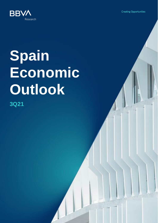**Creating Opportunities** 



# **Spain Economic Outlook**

**3Q21**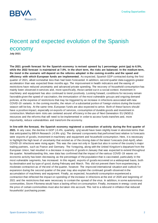## Recent and expected evolution of the Spanish economy

**July 2021**

**The 2021 growth forecast for the Spanish economy is revised upward by 1 percentage point (pp) to 6.5%, while the 2022 forecast is maintained at 7.0%. In the short term, the risks are balanced. In the medium term, the trend in the scenario will depend on the reforms adopted in the coming months and the speed and efficiency with which European funds are implemented.** As expected, Spanish GDP contracted during the first quarter of 2021, albeit somewhat less than had been forecasted. In addition, second quarter data suggests greater acceleration than was expected three months ago. The improvement in health indicators and the easing of restrictions have reduced uncertainty and advanced private spending. The recovery of household consumption has mainly been observed in services and, more specifically, those carried out in a social context. Investment in machinery and equipment has also continued to trend positively. Looking forward, conditions for recovery remain favorable given the speed of vaccination, the immunization of the most vulnerable groups and ongoing demand policies, at the expense of restrictions that may be triggered by an increase in infections associated with new COVID-19 variants. In the coming months, the return of a substantial portion of foreign visitors during the tourist season will be key. At the same time, European funds are also expected to arrive. Both of these factors should have a positive impact, especially on exports of services, consumption of durable goods and investment in construction. Medium-term risks are centered around efficiency in the use of Next Generation EU (NGEU) resources and the reforms that will need to be implemented in order to access funds transfers and, more importantly, reduce vulnerabilities and transform the economy.

**In line with the forecast, the Spanish economy registered a contraction of activity during the first quarter of 2021.** In any case, the decline in GDP (-0.4%, quarterly, q/q) would have been slightly lower in absolute terms than that anticipated by BBVA Research (-0.9% q/q). The demand components that performed best relative to forecasts were exports of goods, investment in machinery and equipment and household consumption. Here, it is necessary to highlight the high level of uncertainty that existed as of the closing date of the latest f orecasts (mid-April), when COVID-19 infections were rising again. This was the case not only in Spain but also in some of the country's major trading partners, such as France and Germany. The foregoing, along with the United Kingdom's departure from the European Union, had resulted in a decrease in exports of goods in January that was expected to extend throughout the quarter. Notwithstanding this, new data has confirmed that the impact of the various COVID -19 waves on economic activity has been decreasing as the percentage of the population that is vaccinated, particularly in the most vulnerable segments, has increased. In this regard, exports of goods recovered on a widespread basis, both by destination and by type of good, during February and March. This did not prevent them from experiencing a moderate contraction as of the end of the quarter, however. The improved international situation and outlook for expansion during the second quarter of the year may also explain the continued growth observed in the accumulation of machinery and equipment. Finally, as expected, household consumption experienced a contraction that reflected the impact on spending of the increase in infections at the end of 2020 and beginning of 2021 and the restrictions that were necessary to contain the spread of the virus. In addition, in some autonomous communities, Storm Filomena would have a lasting effect on consumption. Finally, increases in energy costs and the price of certain commodities must also be taken into account. This led to a rebound in inflation that reduced households' purchasing power.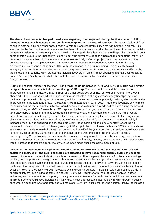

**The demand components that performed more negatively than expected during the first quarter of 2021 included investment in construction, public consumption and exports of services.** The accumulation of fixed capital in both housing and other construction projects fell, whereas preliminary data had pointed to growth. This was despite the fact that the mortgage market has been highly dynamic and that the purchase of homes, especially by Spanish residents, is weathering the crisis well. In this regard, there is a risk that the disappointing trends in both components are due to the uncertainty related to both the arrival of European funds and the conditions that will be necessary to access them. In this scenario, companies are likely deferring projects until they are aware of the details surrounding the implementation of these resources. Public administration consumption, for its part, registered just its second decline since 2014, with the variation in this figure coming in significantly below the average growth achieved during the previous year. Exports of services, for their part, were negatively affected by the increase in infections, which stunted the incipient recovery in foreign tourist spending that had been observed prior to October. Finally, imports fell in line with the forecast, impacted by the reduction in both domestic and foreign demand.

**During the second quarter of the year, GDP growth could be between 2.3% and 3.3%, q/q. This acceleration is higher than was anticipated three months ago (1.3% g/g).** The main factor behind the recovery is an improvement in health indicators in both Spain and other developed countries, as well as in China. The growth observed in the US economy, which is also showing the effects of a strongly expansionary fiscal policy, is of particular importance in this regard. In the EMU, activity data has also been surprisingly positive, which explains the improvement in the Eurozone growth forecast to 4.8% in 2021 and 5.0% in 2022. This more favorable environment for activity and the reduced risk of infection would boost exports of Spanish goods and services during the second quarter of the year (BBVA Research: +1.5% q/q), despite the fact that goods exports would have contracted due to temporary supply issues of intermediate goods in some sectors. Domestic demand, on the other hand, would benefit from rapid vaccination progress and decreased uncertainty regarding the labor market. The progressive elimination of restrictions and the end of the state of alarm have allowed for a recovery concentrated mainly in increased mobility and spending on services, particularly those carried out in a social context. Spending on household consumption could thus have grown by 3.1% (q/q). In fact, purchases made with BBVA credit cards and at BBVA point of sale terminals indicate that, during the first half of the year, spending on services would accelerate to reach levels of about 30% higher in June than it had been during the same month of 2019.<sup>1</sup> Similarly, consumption by Spanish residents outside of their provinces of origin would intensify this recovery, and a return to the levels observed two years ago would be possible in June. <sup>2</sup> Finally, in June, purchases made with foreign cards would increase to represent approximately 60% of those made during the same month of 2019.

**Investment in machinery and equipment would continue to grow, while both the accumulation of fixed capital in construction and public spending are expected to have rebounded sharply during the second quarter of the year.** Various indicators, such as improved confidence (particularly in the PMI for manufacturing), capital goods imports and the registration of buses and industrial vehicles, suggest that investment in machinery and equipment could have increased again during the second quarter of the year (+2.5% q/q). If this estimate is confirmed, this component of private domestic demand would be the first to recover to its pre-crisis levels. This is excellent news for productivity growth forecasts over the coming quarters in Spain. In addition, positive trends in social security affiliation in the construction sector  $(+0.6\%$  q/q), together with the progress observed in other indicators, such as cement consumption, housing permits and tenders for public works, anticipate that investment in this component could have increased by 4.1% q/q. It is also foreseeable that the slowdown in growth in public consumption spending was temporary and will recover (+0.8% q/q) during the second quarter. Finally, the increase

<sup>1:</sup> Se[e Impact of COVID-19 on consumption in real time and high definition, BBVA Research Observatory, June \(2021\)](https://www.bbvaresearch.com/publicaciones/espana-impacto-de-la-covid-19-sobre-el-consumo-en-tiempo-real-y-alta-definicion-en-jun-21/?cid=eml:oem:oth:----49310--:::lnkpubl:::20210707::oth:instant:).

<sup>2:</sup> Se[e Analysis of national tourist flows in real time](https://www.bbvaresearch.com/en/publicaciones/spain-analysis-of-national-tourist-flows-in-real-time/), BBVA Research Observatory, July (2021).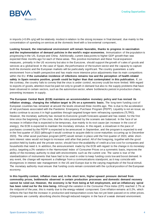

in imports (+0.6% q/q) will be relatively modest in relation to the strong increase in final demand, due mainly to the concentration of spending on services at the domestic level with a low external component **.**

**Looking forward, the international environment will remain favorable, thanks to progress in vaccination and the implementation of demand policies in the world's major economies.** Immunization of the population is progressing in the US, Europe and China. Additionally, current data points to higher GDP growth than was expected three months ago for each of these areas. This positive momentum and these fiscal expansion measures, primarily in the US economy but also in the Eurozone, should support the growth of s ales of goods and services at a global level. In the case of Spain, the performance of the tourism sector and the capacity to capture both the domestic and the European markets will be particularly significant. The country guarantees a safe environment from a health perspective and has made more intensive price adjustments than its main competitors within the EU. **If the cumulative incidence of infections remains low and the perception of health-related safety in Spain remains positive, growth could be higher than that contemplated in this publication.** If, on the contrary, the country fails to convey that the virus is under control, recovery could be more limited. With regard to exports of goods, attention must be paid not only to growth in demand but also to the supply problems that have been observed in certain sectors, such as the automotive sector, where bottlenecks persist in production chains, preventing increases in supply.

**The European Central Bank (ECB) maintains an accommodative monetary policy and has revised its inflation strategy, changing the inflation target to 2% on a symmetric basis.** The long-term funding cost of European countries has remained at around the levels observed three months ago. This is due to the acceleration of net purchases associated with the Pandemic Emergency Purchase Program (PEPP). Liquidity is not an issue, as banks continue to access it in high quantities through targeted longer-term refinancing operations (TLTRO). However, the monetary authority has revised its Eurozone growth forecasts upward and has stated, for the first time since the beginning of the crisis, that the risks presented by the scenario are balanced. In the face of an increase in inflation that is expected to be temporary, due mainly to its root cause (an increase in the cost of energy), the ECB is expected to maintain the monetary stimulus. In this regard, a slowdown in the pace of purchases covered by the PEPP is expected to be announced in September, and the program is expected to end in the first quarter of 2022 (although it would continue to acquire debt to cover maturities occurring up to December 2023). The other asset purchase program (APP) would remain in place until the first quarter of 2023, while shortterm interest rates would not begin to increase until after that period. All of the foregoing, together with the good position held by banks and the private sector, should favor the availability of credit at a low cost for companies and households that need it. In addition, the announcement made by the ECB with regard to the change in its monetary policy, targeting a 2% variation in the Harmonized Index of Consumer Prices on a symmetric basis, improves the ability of the monetary authority to deal with environments such as the current one. The same is true of the standardization of instruments that have had to be used in order to keep funding costs low and boost demand. In any event, the change will represent a challenge from a communications standpoint, as it may coincide with divergences in interest rate management in the US and Europe due to the varying magnitude of the fiscal stimuli. The monetary authority must ensure that funding costs remain consistent with the cyclical position of the European economy.

**In this liquidity context, inflation rises and, in the short term, higher upward pressure derived from commodity prices, bottlenecks observed in certain production processes and domestic demand recovery cannot be ruled out. However, the economy is far from being at full employment, and an inflationary spiral has been ruled out for the time being.** Although the variation in the Consumer Price Index (CPI) reached 2.7% at the midpoint of the year, this is mainly due to the energy-related component. Core inflation remains at 0.2%, which reflects the fact that the increase in production and transportation costs has not yet been passed on to other prices. Companies are currently absorbing shocks through reduced margins in the face of a weak demand environment.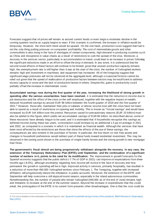

Forecasts suggest that oil prices will remain at around current levels or even begin a moderate decline in the coming quarters insofar as supply begins to react. If this scenario is confirmed, the increase in inflation would be temporary. However, the short-term trend would be upward. On the one hand, production costs suggest that fuel is not the only thing putting pressure on companies' profitability. The cost of intermediate goods and other commodities is also rising in the face of shortages of certain components, high demand in producing countries such as China and disruptions in value chains as a result of restrictions to curb the spread of the virus. Moreover, a recovery in the services sector, particularly in accommodation or travel, could lead to an increase in prices following the significant reductions made in an effort to offset the drop in demand. In any event, it is understood that the second-round effects of these factors will continue to be limited, given that unused production capacity remains high, the unemployment rate is still higher than it was at the start of the crisis, the number of furloughed workers remains high and investment in machinery and equipment has increased. All of the foregoing suggest that significant wage pressures will not be observed at the aggregate level, although o ccasional frictions cannot be ruled out given that the speed of reallocation of productive factors between sectors may be insufficient to address excess capacity in some and the lack of productive factors in others. Despite this, gains in productivity coul d partially offset the increase in intermediate costs.

**Accumulated savings rose during the first quarter of the year, increasing the likelihood of strong growth in spending after the various uncertainties have been resolved.** It is estimated that the reduction in income due to job destruction and the effect of the crisis on the self -employed, together with the negative impact on wealth, reduced household savings by around EUR 98 billion between the fourth quarter of 2019 and the first quarter of 2021.<sup>3</sup> However, those who maintained their jobs or salaries or whose income rose with the crisis have not been able to spend as a result of restrictions on opening and mobility. This is known as "forced savings" and would have increased by EUR 144 billion over this period. Resources saved for precautionary reasons (EUR 23 billion) must also be added to this figure, which yields net accumulated savings of EUR 68 billion. As described above, some of these resources have already begun to be used, and it is estimated that if households recognize this savings as deferred income during these two years, consumption could increase by an additional 1.5 pp on average in 2021 and 2022, as compared to a scenario in which it is maintained as financial wealth. Although the services that have been most affected by the restrictions are those that show the effects of the use of these savings, the consequences are also evident in the purchase of homes. In particular, the low return on risk -free assets and changes in household preferences would redirect part of these funds toward residential investment. This may be observed in the turning point shown in the purchase of single-family homes and the strong growth in new mortgage loan flows.

**The government's fiscal stimuli are being progressively withdrawn alongside the recovery. In any case, the extension of the Temporary Redundancy Plan (ERTE) until September, and the continuation of a significant number of workers in it, points to the need for its modification.** The improvement in growth forecasts for the Spanish economy suggests that the public deficit (-7.7% of GDP in 2021) can improve on expectations from three months ago (-8.5%), although uncertainty regarding how income will evolve in the face of recovery and how permanent the growth in spending will be is high. Improved activity in services, primarily hospitality, has resulted in a reduction of more than 450,000 furloughed workers since February 1. The foregoing, together with increased affiliation, will progressively reduce the imbalance in public accounts. Moreover, the extension of the ERTE until September will help overcome a still atypical tourist season, especially in the island autonomous communities. Notwithstanding this, the number of people who remain furloughed (449,000 as of the end of June) remains high and threatens to increase at the end of the summer season. Beyond the increase in expenditures that this could entail, the prolongation of the ERTE in its current form presents other disadvantages. One is that the cost could be

<sup>3:</sup> For more details on the estimation of these figures, see[: Spanish household saving in times of the pandemic, BBVA Research Observatory,](https://www.bbvaresearch.com/publicaciones/el-ahorro-de-los-hogares-espanoles-en-tiempos-de-pandemia/)  [May \(2021\).](https://www.bbvaresearch.com/publicaciones/el-ahorro-de-los-hogares-espanoles-en-tiempos-de-pandemia/)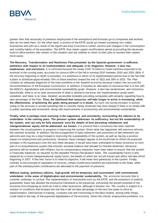**BBV** Research

greater than that necessary to preserve employment if the exemptions and bonuses go to companies and workers who do not need them. On the other hand, a portion of the ERTE would go toward sustaining non-viable businesses and jobs as a result of the significant drop in income in certain sectors and changes in the consumption and mobility habits of the population. The ERTE thus needs urgent modifications aimed at providing the necessary tools to allow workers who remain in this situation and are unlikely to return to their jobs to reorient their careers more easily.

**The Recovery, Transformation and Resilience Plan presented by the Spanish government is sufficient, ambitious with respect to its implementation and adequate in its diagnosis. However, it also has weaknesses and omissions.** It is sufficient because the nearly EUR 70 billion in funds transfers expected to be received in the coming years accounts for close to 60% of the fall in nominal GDP between 2019 and 2020 (80% if the recovery beginning in 3Q20 is included). It is ambitious in terms of its implementation period due to the fact that it plans to distribute approximately 70% of these transfers toward the end of 2022 and 30% in 2023. The Plan contains an adequate diagnosis of the main problems in the Spanish economy because it takes into account the recommendations of the European Commission. In addition, it includes an allocation of resources that is in line with the NGEU's digitalization and environmental sustainability goals. However, it also has weaknesses and omissions. Specifically, there is no ex ante assessment of what is desired to be done, the implementation goals seem unrealistic and there is no clear, detailed, accessible timetable providing companies with certainty regarding how to take advantage of the Plan. **Thus, the likelihood that resources will take longer to arrive is increasing, while the effectiveness of achieving the goals being pursued is in doubt.** As such, the strong increase in activity owing to the recovery in private spending that is currently being observed may slow sharply if there is no timely shift in public spending and investment, along with improvements in productivity and environmental sustainability .

**Finally, what is perhaps most worrying is the vagueness and uncertainty surrounding the reforms to be undertaken in the coming years. The pension system addresses its sufficiency but not the sustainability of the system, and can only be fully assessed once the details of how persisting imbalances and intergenerational equity will be addressed are known.** It is positive that a consensus has been reached between the social partners to progress in improving the system. Given what has happened with previous reforms, this seemed essential. In addition, the discouragement of early retirement and promotion of late retirement are welcome and may be a step forward in improving the sustainability of the system, as well as having a positive impact on employment and productivity. However, these changes appear to be insufficient to offset t he expected increase in life expectancy over the next three decades. It would have been preferable for these incentives to form part of a comprehensive system that ensured actuarial balance and allowed for flexible retirement. Moreover, pensions will be revalued with inflation, but no compensatory measures have been taken to ensure that the system is financially balanced, as required by the repealed Pension Revaluation Index. The sustainability factor is also replaced by a future intergenerational equity factor, the details of which are not yet known and which will take effect beginning in 2027. If this new factor is to meet its objective, it will mean less generosity in the system. Finally, contrary to the principle of separation of sources, certain contributory benefits are transferred to the State, while part of the unemployment contributions are allocated to the payment of pensions .

**Without lasting, ambitious reforms, high growth will be temporary and inconsistent with commitments undertaken in the areas of digitalization and environmental sustainability.** The economic recovery that is currently underway is cyclical. The implementation of instruments such as the ERTE and the extension of publicly guaranteed loans has allowed the productive framework to be preserved, preventing the growth potential of the economy from dropping as much as it did in other recessions, although it remains low. The country is subject to a number of conditions that increase the risk that it will not take advantage of the next few years to drive its transformation. Deficiencies in training, company size and functioning of the labor market, among other things, could stand in the way of the expected digitalization of the economy. Given the chronic employment problems, it is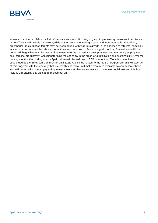**Creating Opportunities** 



essential that the next labor market reforms are successful in designing and implementing measures to achieve a more efficient and flexible framework, while at the same time making it safer and more equitable. In addition, greenhouse gas reduction targets may be incompatible with vigorous growth in the absence of refo rms, especially in autonomous communities whose production structure does not favor this goal. Looking forward, a conditional period will begin that must be used to implement reforms that reduce unemployment and temporary employment and increase productivity, while transforming the economy in the areas of digitalization and sustainability. Over the coming months, the funding cost in Spain will remain limited due to ECB intervention. Tax rules have been suspended by the European Commission until 2023. And f unds related to the NGEU program are on their way. All of this, together with the recovery that is currently underway, will make resources available to compensate those who will necessarily have to pay to implement measures that are necessary to increase s ocial welfare. This is a historic opportunity that cannot be missed out on.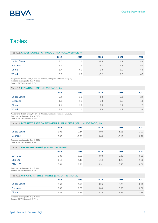

## **Tables**

#### Table 1.1. **GROSS DOMESTIC PRODUCT** (ANNUAL AVERAGE, %)

| 2018 | 2019 | 2020   | 2021 | 2022 |
|------|------|--------|------|------|
| 3.0  | 3.7  | $-3.5$ | 6.7  | 4.8  |
| 1.9  | 1.3  | $-6.7$ | 4.8  | 5.0  |
| 6.7  | 6.0  | 2.3    | 8.2  | 5.5  |
| 3.6  | 2.9  | $-3.2$ | 6.3  | 4.7  |
|      |      |        |      |      |

\* Argentina, Brazil, Chile, Colombia, México, Paraguay, Perú and Uruguay. Forecast closing date: July 9, 2021.

Source: BBVA Research & FMI.

#### Table 1.2. **INFLATION** (ANNUAL AVERAGE, %)

|                      | 2018 | 2019 | 2020 | 2021 | 2022 |
|----------------------|------|------|------|------|------|
| <b>United States</b> | 2.4  | 1.8  | 1.2  | 3.6  | 2.8  |
| Eurozone             | 1.8  | 1.2  | 0.3  | 2.0  | 1.5  |
| China                | 2.1  | 2.9  | 2.5  | 1.7  | 2.5  |
| World                | 3.8  | 3.6  | 3.6  | 4.2  | 3.6  |

\* Argentina, Brazil, Chile, Colombia, México, Paraguay, Perú and Uruguay.

Forecast closing date: July 9, 2021.

#### Source: BBVA Research & FMI.

| Table 1.3. INTEREST RATE ON TEN-YEAR PUBLIC DEBT (ANNUAL AVERAGE, %) |      |         |         |         |      |  |  |
|----------------------------------------------------------------------|------|---------|---------|---------|------|--|--|
|                                                                      | 2018 | 2019    | 2020    | 2021    | 2022 |  |  |
| <b>United States</b>                                                 | 2.91 | 2.14    | 0.90    | 1.56    | 2.02 |  |  |
| Germany                                                              | 0.46 | $-0.21$ | $-0.48$ | $-0.19$ | 0.22 |  |  |
|                                                                      |      |         |         |         |      |  |  |

Forecast closing date: July 9, 2021. Source: BBVA Research & FMI.

#### Table 1.4. **EXCHANGE RATES** (ANNUAL AVERAGE)

|                | 2018 | 2019 | 2020 | 2021 | 2022 |
|----------------|------|------|------|------|------|
| <b>EUR-USD</b> | 0.85 | 0.89 | 0.88 | 0.83 | 0.82 |
| USD-EUR        | 1.18 | 1.12 | 1.14 | 1.20 | 1.22 |
| <b>CNY-USD</b> | 6.61 | 6.91 | 6.91 | 6.46 | 6.50 |

Forecast closing date: April 9, 2021.

Source: BBVA Research & FMI.

#### Table 1.5. **OFFICIAL INTEREST RATES** (END OF PERIOD, %)

|                      | 2018 | 2019 | 2020 | 2021 | 2022 |
|----------------------|------|------|------|------|------|
| <b>United States</b> | 2.50 | 1.75 | 0.25 | 0.25 | 0.25 |
| Eurozone             | 0.00 | 0.00 | 0.00 | 0.00 | 0.00 |
| China                | 4.35 | 4.35 | 4.35 | 3.85 | 3.85 |

Forecast closing date: July 9, 2021.

Source: BBVA Research & FMI.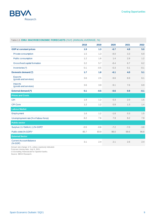

#### Table 1.6. **EMU: MACROECONOMIC FORECASTS** (YoY) (ANNUAL AVERAGE, %)

|                                                              | 2018   | 2019   | 2020   | 2021   | 2022   |
|--------------------------------------------------------------|--------|--------|--------|--------|--------|
| <b>GDP</b> at constant prices                                | 1.9    | 1.3    | $-6.7$ | 4.8    | 5.0    |
| Private consumption                                          | 1.5    | 1.3    | $-8.0$ | 3.3    | 6.9    |
| Public consumption                                           | 1.2    | 1.8    | 1.4    | 2.9    | 1.2    |
| Gross fixed capital formation                                | 3.2    | 5.7    | $-8.4$ | 6.7    | 6.2    |
| Inventories (*)                                              | 0.1    | $-0.5$ | $-0.3$ | 0.1    | $-0.1$ |
| Domestic demand (*)                                          | 1.7    | 1.8    | $-6.1$ | 4.0    | 5.1    |
| <b>Exports</b><br>(goods and services)                       | 3.6    | 2.5    | $-9.6$ | 8.9    | 6.1    |
| Imports<br>(goods and services)                              | 3.6    | 3.9    | $-9.1$ | 7.6    | 6.9    |
| <b>External demand (*)</b>                                   | 0.1    | $-0.5$ | $-0.6$ | 0.9    | $-0.1$ |
| <b>Prices and Costs</b>                                      |        |        |        |        |        |
| <b>CPI</b>                                                   | 1.8    | 1.2    | 0.3    | 2.0    | 1.5    |
| <b>CPI Core</b>                                              | 1.2    | 1.2    | 0.9    | 1.3    | 1.4    |
| <b>Labour Market</b>                                         |        |        |        |        |        |
| Employment                                                   | 1.6    | 1.2    | $-1.6$ | 0.3    | 1.5    |
| Unemployment rate (% of labour force)                        | 8.2    | 7.6    | 7.9    | 8.2    | 7.9    |
| <b>Public sector</b>                                         |        |        |        |        |        |
| Surplus (+) / Deficit (-) (% GDP)*                           | $-0.5$ | $-0.6$ | $-7.2$ | $-7.0$ | $-3.8$ |
| Public debt (% GDP)*                                         | 85.7   | 83.9   | 98.0   | 99.6   | 96.8   |
| <b>External Sector</b>                                       |        |        |        |        |        |
| <b>Current Account Balance</b><br>$(% \mathbb{R}^2)$ (% GDP) | 3.1    | 2.4    | 2.1    | 2.6    | 2.4    |

Annual rate change in %, unless expressly indicated.

Forecast closing date: July 9, 2021.

(\*) Excluding financial aid for Spanish banks.

Source: BBVA Research.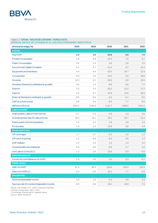

#### Table 1.7.**SPAIN: MACROECONOMIC FORECASTS**

(ANNUAL RATES OF CHANGE IN %, UNLESS OTHERWISE INDICATED)

| (Annual av erage, %)                       | 2018   | 2019   | 2020    | 2021   | 2022   |
|--------------------------------------------|--------|--------|---------|--------|--------|
| <b>Activity</b>                            |        |        |         |        |        |
| <b>Real GDP</b>                            | 2.4    | 2.0    | $-10.8$ | 6.5    | 7.0    |
| <b>Private Consumption</b>                 | 1.8    | 0.9    | $-12.4$ | 7.5    | 6.7    |
| <b>Public Consumption</b>                  | 2.6    | 2.3    | 3.8     | 2.8    | 2.5    |
| <b>Gross Fixed Capital Formation</b>       | 6.1    | 2.7    | $-11.4$ | 9.7    | 16.4   |
| Equipment and machinery                    | 5.4    | 4.4    | $-13.0$ | 16.7   | 12.4   |
| Construction                               | 9.3    | 1.6    | $-14.0$ | 5.0    | 18.8   |
| Housing                                    | 12.4   | 4.1    | $-16.6$ | 4.0    | 13.5   |
| Domestic Demand (contribution to growth)   | 3.0    | 1.4    | $-8.8$  | 6.6    | 7.6    |
| <b>Exports</b>                             | 2.3    | 2.3    | $-20.2$ | 12.2   | 17.2   |
| Imports                                    | 4.2    | 0.7    | $-15.8$ | 13.6   | 20.0   |
| External Demand (contribution to growth)   | $-0.5$ | 0.6    | $-2.0$  | $-0.1$ | $-0.5$ |
| GDP at current prices                      | 3.6    | 3.4    | $-9.9$  | 7.7    | 8.5    |
| (Billions of Euros)                        | 1204.2 | 1244.8 | 1121.7  | 1208.5 | 1311.5 |
| <b>Labour market</b>                       |        |        |         |        |        |
| Employment, Labour Force Survey            | 2.7    | 2.3    | $-2.9$  | 1.9    | 3.6    |
| Unemployment rate (% Labour force)         | 15.3   | 14.1   | 15.5    | 15.7   | 14.2   |
| Employment, full time equivalent           | 1.0    | 3.2    | 2.8     | 2.9    | 2.6    |
| Productivity                               | 1.5    | $-1.2$ | $-13.6$ | 3.6    | 4.4    |
| <b>Prices and Costs</b>                    |        |        |         |        |        |
| CPI (average)                              | 1.7    | 0.7    | $-0.3$  | 2.0    | 1.2    |
| CPI (end of period)                        | 1.2    | 0.8    | $-0.5$  | 2.6    | 1.3    |
| <b>GDP</b> deflator                        | 1.2    | 1.4    | 1.0     | 1.3    | 1.5    |
| Compensation per employee                  | 0.3    | 0.6    | $-0.6$  | 0.7    | 3.6    |
| Unit Labour Cost (ULC)                     | $-1.2$ | 1.8    | 13.0    | $-2.9$ | $-0.8$ |
| <b>External sector (*)</b>                 |        |        |         |        |        |
| Current Account Balance (% GDP)            | 1.8    | 2.0    | 0.5     | 0.3    | $-0.3$ |
| <b>Public sector</b>                       |        |        |         |        |        |
| Debt (% GDP)                               | 97.4   | 95.5   | 119.9   | 119.2  | 115.5  |
| Deficit (% GDP) (*)                        | $-2.5$ | $-2.9$ | $-10.1$ | $-7.7$ | $-5.5$ |
| <b>Households</b>                          |        |        |         |        |        |
| Nominal disposable income                  | 3.0    | 2.6    | $-3.3$  | 3.9    | 4.3    |
| Savings rate (% nominal disposable income) | 6.0    | 6.6    | 15.1    | 10.8   | 7.5    |

Annual rate change in %, unless expressly indicated.

Forecast closing date: July 9, 2021.

(\*) Excluding financial aid for Spanish banks.

Source: BBVA Research.